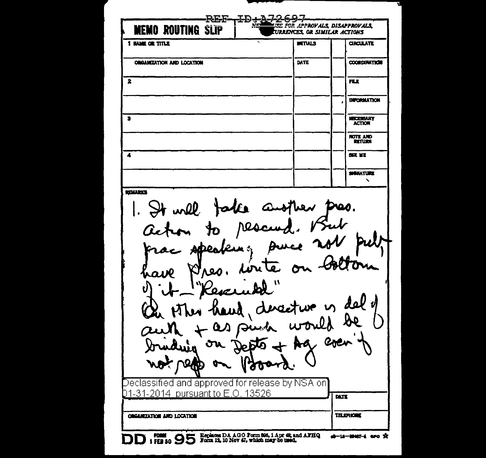REF-ID+7 EE FOR APPROVALS DISAPPROVALS **MEMO ROUTING SLIP URRENCES, OR SIMILAR ACTIONS** 1 MM OR TITLE **HITIALS CIRCULATE** ORGANIZATION AND LOCATION DATE **COORDINATION**  $\overline{\mathbf{2}}$ FLT. *<u>IMPORMATION</u>*  $\overline{\mathbf{z}}$ **MICEMAURY ACTION NOTE AND ETUB**  $\blacktriangle$ **SEE ME MANATINT**  $\mathbf{v}$ **ROUARCE** 1. It will false another pres. rescu JО Burce مطا Adrea dor te  $\sigma$ سره ۲ New thank describe is del 9 + Ag eve or **DARO** Declassified and approved for release by NSA on 01-31-2014 pursuant to E.O. 13526  $\overline{\mathbf{M}}$ **TELEPHONE OBGANIZATION AND LOCATION** DD : FEB 50 95 Form an DA AGO Form 806, 1 Apr 48, and AFHQ di-10-0042-4 are 2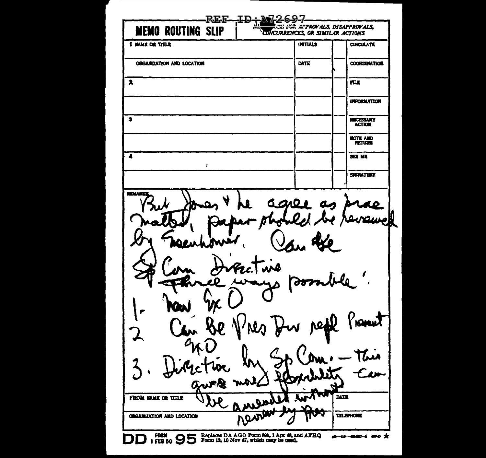REE ID + M2 A. use for approvals, disapprovals, **MEMO ROUTING SLIP** CUNCURRENCES, OR SIMILAR ACTIONS 1 HAND OR TITLE **UTTALS CIRCULATE OBSARIZATION AND LOCATION DATE COORDUNATION**  $\bullet$ **FLX INFORMATION**  $\overline{\mathbf{3}}$ **NECESSARY ACTION HOTE AND**  $\overline{\bullet}$  $50.10$  $\mathbf{r}$ SIGNATURE ROUARD G 210 I σđ 1 J YNOVENT AQ. **DATE** FROM MAKE OR TITLE **TELEPHONE ORGANIZATION AND LOCATION** DD 17E8 50 95 Form 12, 10 Nov 67, which may be used. #-18-#M87-4 #PO X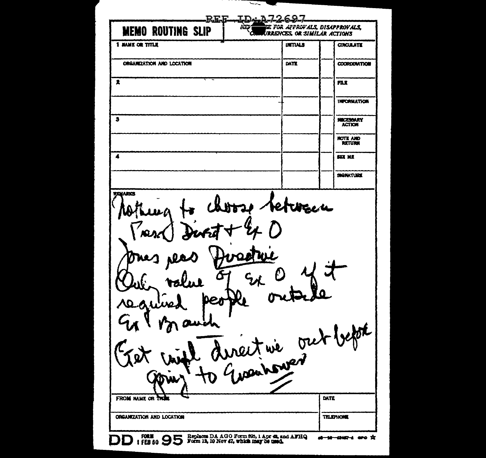$\leq$ **LD:A72697 REE** BE FOR APPROFALS. DISAPPROVALS. ਨੇਕ **MEMO ROUTING SLIP URRENCES, OR SIMILAR ACTIONS 1 HAME OR TITLE UITINS CIRCULATE** ORGANIZATION AND LOCATION **DATE COORDUNATION**  $\blacktriangleright$ FLI. **INFORMATION**  $\bullet$ NECESSARY<br>ACTION **NOTE AND<br>RETURN**  $\overline{\bullet}$  $577 M$ SIGNATURE **TILIJARICI** tetwacu Usent nie out befort A DATE FROM NAME OR THE ORGANIZATION AND LOCATION **TRLEPHONE** FORM (FEB 80 9 5 Form 13, 10 Nov 42, which may be used. AFHQ 1 FEB 80 9 5 Form 13, 10 Nov 42, which may be used. at 10 1010 4 are X DD.

- - - -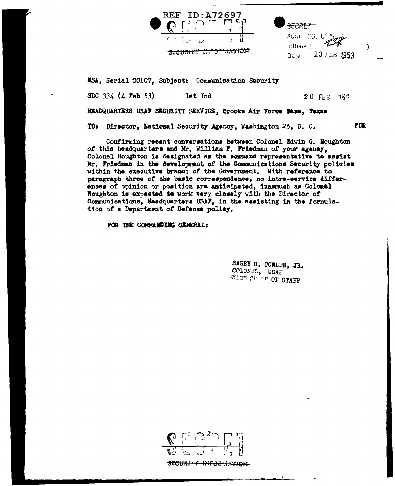

<del>SECRET -</del> Auth CG, U<sup>ch</sup>i Initials (  $13 + 61953$ Date

 $\lambda$ 

**FOR** 

MSA, Serial 00107, Subject: Communication Security

SDC 334 (4 Feb 53) lst Ind

 $20$  FLB  $955$ 

HEADQUARTERS USAF SECURITI SERVICE, Brooks Air Force Mass, Taxas

TO: Director, National Security Agency, Washington 25, D. C.

Confirming recent conversations between Colonel Edwin G. Houghton of this headquarters and Mr. William F. Friedman of your agency, Colonel Houghton is designated as the sommand representative to assist Mr. Friedman in the development of the Communications Security policies within the executive branch of the Government. With reference to paragraph three of the basic correspondence, no intra-service differences of opinion or position are anticipated, inasmuch as Colomel Houghton is expected to work very closely with the Director of Communications, Headquarters USAF, in the assisting in the formulation of a Department of Defense policy.

FOR THE COMMANDING GENERAL:

HARRY H. TOWLER, JR. COLONEL, USAF WICE OF THE OF STAFF



<del>security information</del>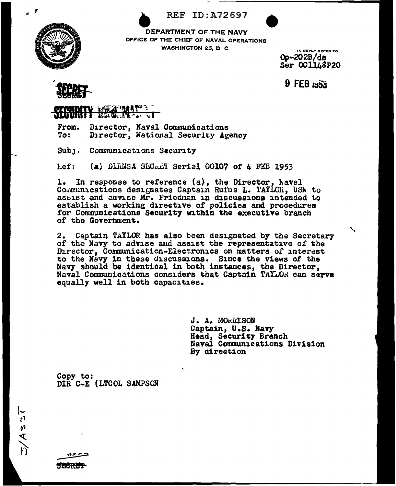



DEPARTMENT OF THE NAVY OFFICE OF THE CHIEF OF NAVAL OPERATIONS **WASHINGTON 25, D C** 

IN REPLY REFER TO  $Op-202B/ds$ Ser 0011L8P20

 $9$  FEB  $153$ 



## **ANGERICAL PROPERTY PROPERTY**

Director, Naval Communications From. Director, National Security Agency To:

Subr. Communications Security

 $left:$ (a) DIRNSA SECRET Serial 00107 of 4 FEB 1953

1. In response to reference (a), the Director, Naval Communications designates Captain Rufus L. TAYLOR, USN to assist and advise Mr. Friedman in discussions intended to establish a working directive of policies and procedures for Communications Security within the executive branch of the Government.

2. Captain TAYLOR has also been designated by the Secretary of the Navy to advise and assist the representative of the Director, Communication-Electronics on matters of interest to the Navy in these discussions. Since the views of the Navy should be identical in both instances, the Director, Naval Communications considers that Captain TAYLOR can serve equally well in both capacities.

> J. A. MORRISON Captain, U.S. Navy Head, Security Branch Naval Communications Division By direction

Copy to: DIR C-E (LTCOL SAMPSON

**TECTURE**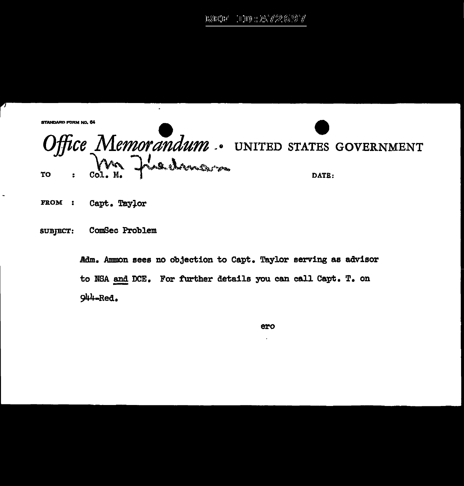JDD : A72697 nana'ny

**STANDARD FORM NO. 64** 

Office Memorandum. UNITED STATES GOVERNMENT TO

- FROM : Capt. Taylor
- **SUBJECT:** ComSec Problem

Adm. Ammon sees no objection to Capt. Taylor serving as advisor to NSA and DCE. For further details you can call Capt. T. on 944-Red.

ero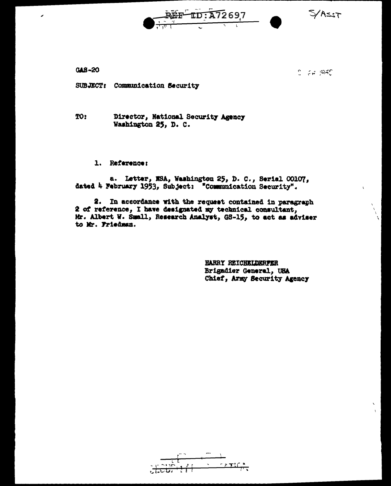72697  $TD - \Delta$ 

 $5/1257$ 

 $GAS - 20$ 

 $2.7297$ 

SUBJECT: Communication Security

TO: Director, National Security Agency Washington 25, D. C.

1. Reference:

a. Letter, NSA, Washington 25, D. C., Serial 00107, dated 4 February 1953, Subject: "Communication Security".

2. In accordance with the request contained in paragraph 2 of reference, I have designated my technical consultant, Mr. Albert W. Small, Research Analyst, GS-15, to act as adviser to Mr. Friedman.

> HARRY REICHELDERFER Brigadier General, URA Chief, Army Security Agency

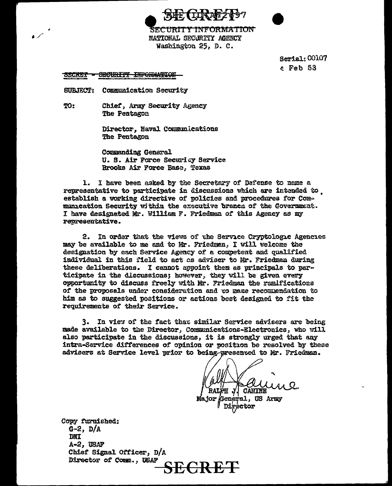



**SECURITY INFORMATION** NATIONAL SECURITY AGENCY Washington 25. D. C.

> Serial: 00107  $e$  Feb 53

**SECURITY INFORMATION SECRET** 

SUBJECT: Communication Security

TO: Chief. Army Security Agency The Pentagon

> Director, Naval Communications The Pentagon

Commending General U. S. Air Force Securicy Service Brooks Air Force Base, Texas

1. I have been asked by the Secretary of Defense to name a representative to participate in discussions which are intended to establish a working directive of policies and procedures for Communication Security within the executive branch of the Government. I have designated Mr. William F. Friedman of this Agency as my representative.

2. In order that the views of the Service Cryptologic Agencies may be available to me and to Mr. Friedman. I will welcome the designation by each Service Agency of a competent and qualified individual in this field to act as adviser to Mr. Friedman during these deliberations. I cannot appoint them as principals to participate in the discussions; however, they will be given every opportunity to discuss freely with Mr. Friedman the ramifications of the proposals under consideration and to make recommendation to him as to suggested positions or actions best designed to fit the requirements of their Service.

3. In view of the fact that similar Service advisers are being made available to the Director, Communications-Electronics, who will also participate in the discussions. it is strongly urged that any intra-Service differences of opinion or position be resolved by these advisers at Service level prior to being-gresented to Mr. Friedman.

**RALPH CANINE** 

Major General, US Army Director

Copy furnished:  $G=2$ ,  $D/A$ DNI A-2, USAF Chief Signal Officer, D/A Director of Comm., USAF